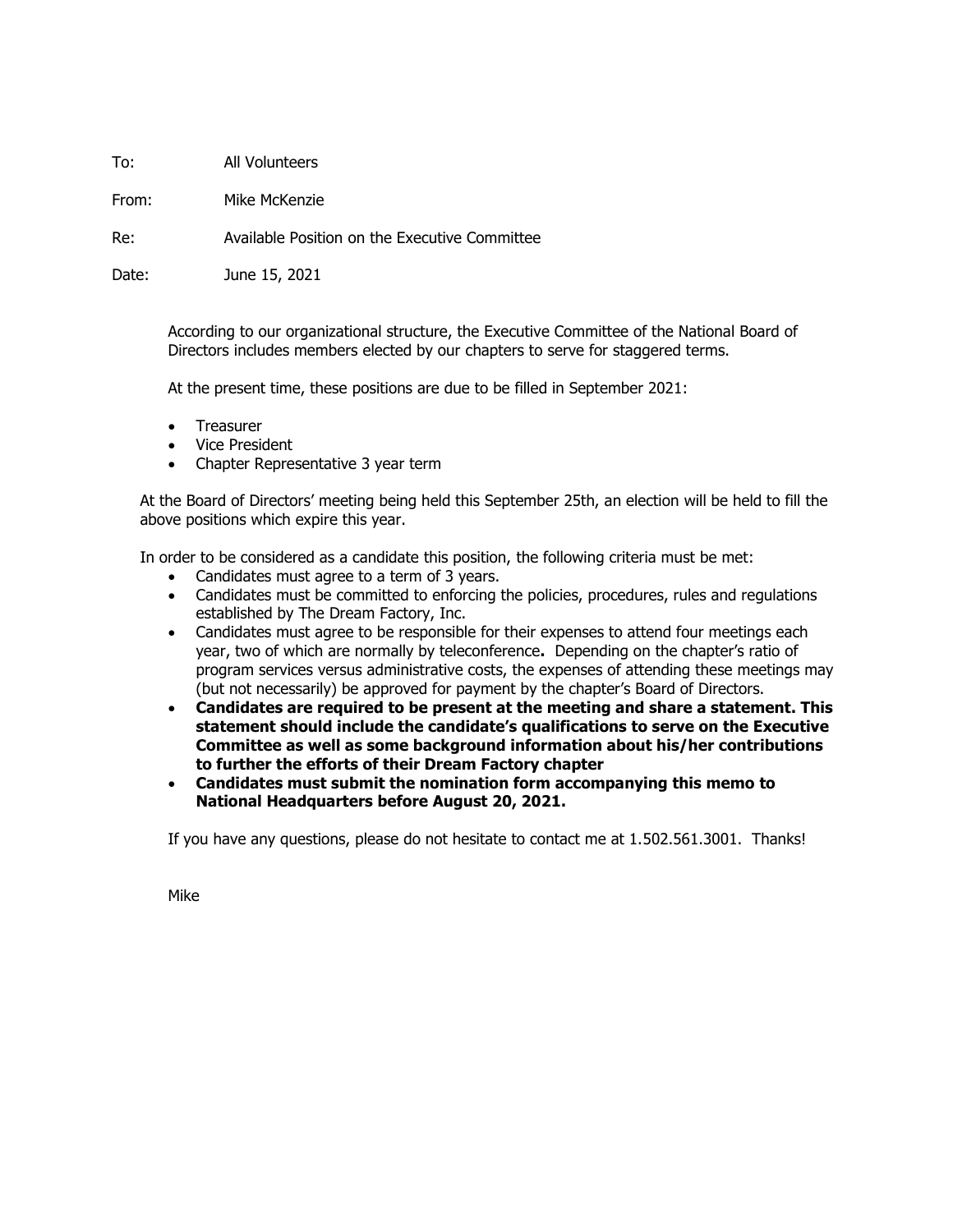To: All Volunteers

From: Mike McKenzie

Re: Available Position on the Executive Committee

Date: June 15, 2021

According to our organizational structure, the Executive Committee of the National Board of Directors includes members elected by our chapters to serve for staggered terms.

At the present time, these positions are due to be filled in September 2021:

- Treasurer
- Vice President
- Chapter Representative 3 year term

At the Board of Directors' meeting being held this September 25th, an election will be held to fill the above positions which expire this year.

In order to be considered as a candidate this position, the following criteria must be met:

- Candidates must agree to a term of 3 years.
- Candidates must be committed to enforcing the policies, procedures, rules and regulations established by The Dream Factory, Inc.
- Candidates must agree to be responsible for their expenses to attend four meetings each year, two of which are normally by teleconference**.** Depending on the chapter's ratio of program services versus administrative costs, the expenses of attending these meetings may (but not necessarily) be approved for payment by the chapter's Board of Directors.
- **Candidates are required to be present at the meeting and share a statement. This statement should include the candidate's qualifications to serve on the Executive Committee as well as some background information about his/her contributions to further the efforts of their Dream Factory chapter**
- **Candidates must submit the nomination form accompanying this memo to National Headquarters before August 20, 2021.**

If you have any questions, please do not hesitate to contact me at 1.502.561.3001. Thanks!

Mike